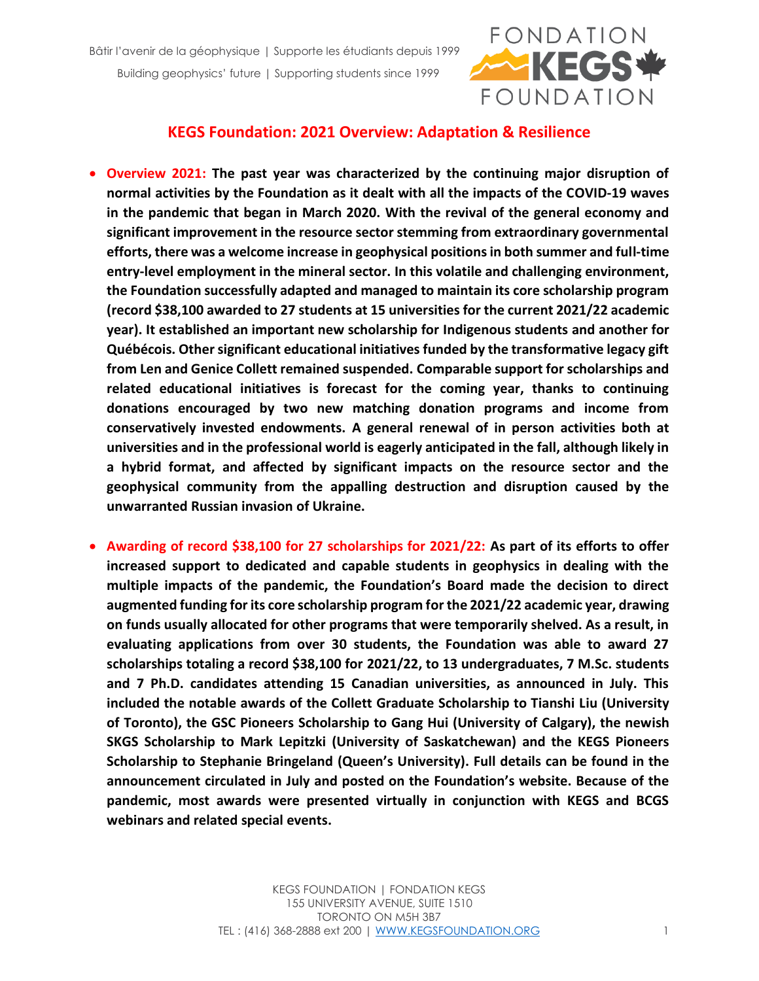

#### **KEGS Foundation: 2021 Overview: Adaptation & Resilience**

- **Overview 2021: The past year was characterized by the continuing major disruption of normal activities by the Foundation as it dealt with all the impacts of the COVID-19 waves in the pandemic that began in March 2020. With the revival of the general economy and significant improvement in the resource sector stemming from extraordinary governmental efforts, there was a welcome increase in geophysical positions in both summer and full-time entry-level employment in the mineral sector. In this volatile and challenging environment, the Foundation successfully adapted and managed to maintain its core scholarship program (record \$38,100 awarded to 27 students at 15 universities for the current 2021/22 academic year). It established an important new scholarship for Indigenous students and another for Québécois. Other significant educational initiatives funded by the transformative legacy gift from Len and Genice Collett remained suspended. Comparable support for scholarships and related educational initiatives is forecast for the coming year, thanks to continuing donations encouraged by two new matching donation programs and income from conservatively invested endowments. A general renewal of in person activities both at universities and in the professional world is eagerly anticipated in the fall, although likely in a hybrid format, and affected by significant impacts on the resource sector and the geophysical community from the appalling destruction and disruption caused by the unwarranted Russian invasion of Ukraine.**
- **Awarding of record \$38,100 for 27 scholarships for 2021/22: As part of its efforts to offer increased support to dedicated and capable students in geophysics in dealing with the multiple impacts of the pandemic, the Foundation's Board made the decision to direct augmented funding for its core scholarship program for the 2021/22 academic year, drawing on funds usually allocated for other programs that were temporarily shelved. As a result, in evaluating applications from over 30 students, the Foundation was able to award 27 scholarships totaling a record \$38,100 for 2021/22, to 13 undergraduates, 7 M.Sc. students and 7 Ph.D. candidates attending 15 Canadian universities, as announced in July. This included the notable awards of the Collett Graduate Scholarship to Tianshi Liu (University of Toronto), the GSC Pioneers Scholarship to Gang Hui (University of Calgary), the newish SKGS Scholarship to Mark Lepitzki (University of Saskatchewan) and the KEGS Pioneers Scholarship to Stephanie Bringeland (Queen's University). Full details can be found in the announcement circulated in July and posted on the Foundation's website. Because of the pandemic, most awards were presented virtually in conjunction with KEGS and BCGS webinars and related special events.**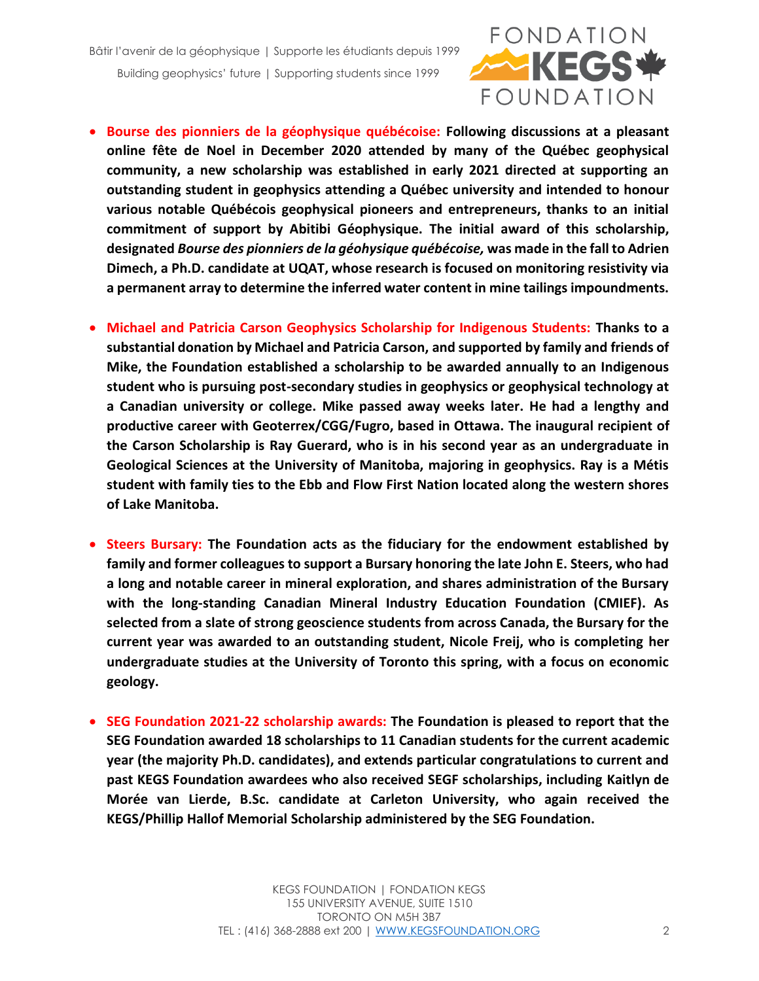

- **Bourse des pionniers de la géophysique québécoise: Following discussions at a pleasant online fête de Noel in December 2020 attended by many of the Québec geophysical community, a new scholarship was established in early 2021 directed at supporting an outstanding student in geophysics attending a Québec university and intended to honour various notable Québécois geophysical pioneers and entrepreneurs, thanks to an initial commitment of support by Abitibi Géophysique. The initial award of this scholarship, designated** *Bourse des pionniers de la géohysique québécoise,* **was made in the fall to Adrien Dimech, a Ph.D. candidate at UQAT, whose research is focused on monitoring resistivity via a permanent array to determine the inferred water content in mine tailings impoundments.**
- **Michael and Patricia Carson Geophysics Scholarship for Indigenous Students: Thanks to a substantial donation by Michael and Patricia Carson, and supported by family and friends of Mike, the Foundation established a scholarship to be awarded annually to an Indigenous student who is pursuing post-secondary studies in geophysics or geophysical technology at a Canadian university or college. Mike passed away weeks later. He had a lengthy and productive career with Geoterrex/CGG/Fugro, based in Ottawa. The inaugural recipient of the Carson Scholarship is Ray Guerard, who is in his second year as an undergraduate in Geological Sciences at the University of Manitoba, majoring in geophysics. Ray is a Métis student with family ties to the Ebb and Flow First Nation located along the western shores of Lake Manitoba.**
- **Steers Bursary: The Foundation acts as the fiduciary for the endowment established by family and former colleagues to support a Bursary honoring the late John E. Steers, who had a long and notable career in mineral exploration, and shares administration of the Bursary with the long-standing Canadian Mineral Industry Education Foundation (CMIEF). As selected from a slate of strong geoscience students from across Canada, the Bursary for the current year was awarded to an outstanding student, Nicole Freij, who is completing her undergraduate studies at the University of Toronto this spring, with a focus on economic geology.**
- **SEG Foundation 2021-22 scholarship awards: The Foundation is pleased to report that the SEG Foundation awarded 18 scholarships to 11 Canadian students for the current academic year (the majority Ph.D. candidates), and extends particular congratulations to current and past KEGS Foundation awardees who also received SEGF scholarships, including Kaitlyn de Morée van Lierde, B.Sc. candidate at Carleton University, who again received the KEGS/Phillip Hallof Memorial Scholarship administered by the SEG Foundation.**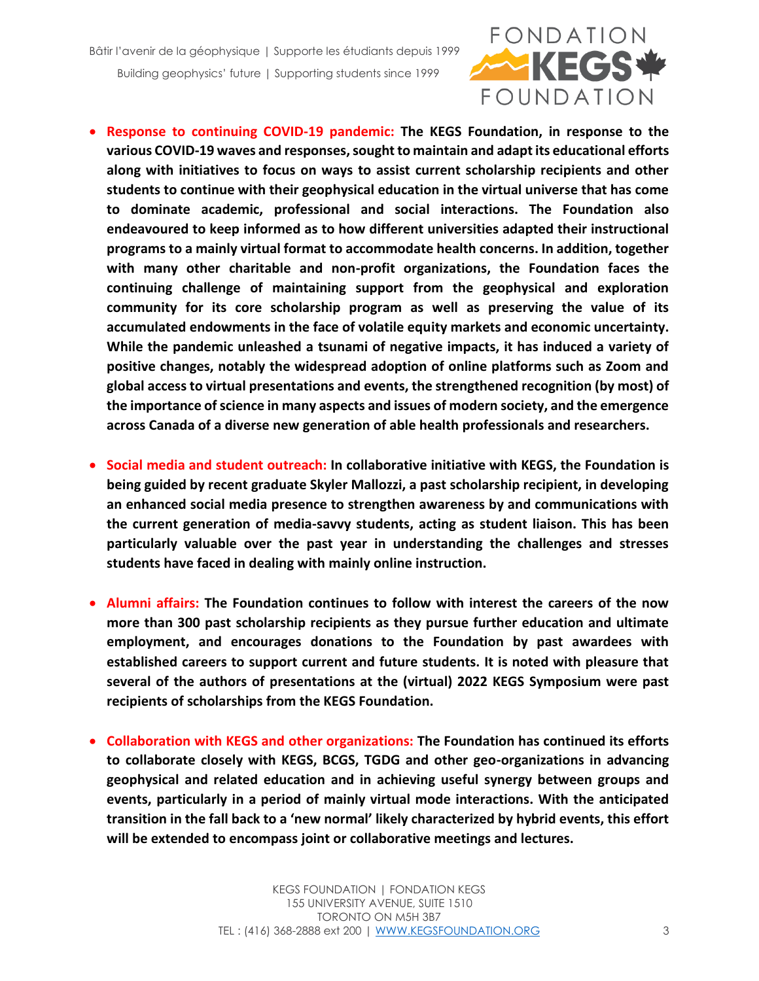

- **Response to continuing COVID-19 pandemic: The KEGS Foundation, in response to the various COVID-19 waves and responses, sought to maintain and adapt its educational efforts along with initiatives to focus on ways to assist current scholarship recipients and other students to continue with their geophysical education in the virtual universe that has come to dominate academic, professional and social interactions. The Foundation also endeavoured to keep informed as to how different universities adapted their instructional programs to a mainly virtual format to accommodate health concerns. In addition, together with many other charitable and non-profit organizations, the Foundation faces the continuing challenge of maintaining support from the geophysical and exploration community for its core scholarship program as well as preserving the value of its accumulated endowments in the face of volatile equity markets and economic uncertainty. While the pandemic unleashed a tsunami of negative impacts, it has induced a variety of positive changes, notably the widespread adoption of online platforms such as Zoom and global access to virtual presentations and events, the strengthened recognition (by most) of the importance of science in many aspects and issues of modern society, and the emergence across Canada of a diverse new generation of able health professionals and researchers.**
- **Social media and student outreach: In collaborative initiative with KEGS, the Foundation is being guided by recent graduate Skyler Mallozzi, a past scholarship recipient, in developing an enhanced social media presence to strengthen awareness by and communications with the current generation of media-savvy students, acting as student liaison. This has been particularly valuable over the past year in understanding the challenges and stresses students have faced in dealing with mainly online instruction.**
- **Alumni affairs: The Foundation continues to follow with interest the careers of the now more than 300 past scholarship recipients as they pursue further education and ultimate employment, and encourages donations to the Foundation by past awardees with established careers to support current and future students. It is noted with pleasure that several of the authors of presentations at the (virtual) 2022 KEGS Symposium were past recipients of scholarships from the KEGS Foundation.**
- **Collaboration with KEGS and other organizations: The Foundation has continued its efforts to collaborate closely with KEGS, BCGS, TGDG and other geo-organizations in advancing geophysical and related education and in achieving useful synergy between groups and events, particularly in a period of mainly virtual mode interactions. With the anticipated transition in the fall back to a 'new normal' likely characterized by hybrid events, this effort will be extended to encompass joint or collaborative meetings and lectures.**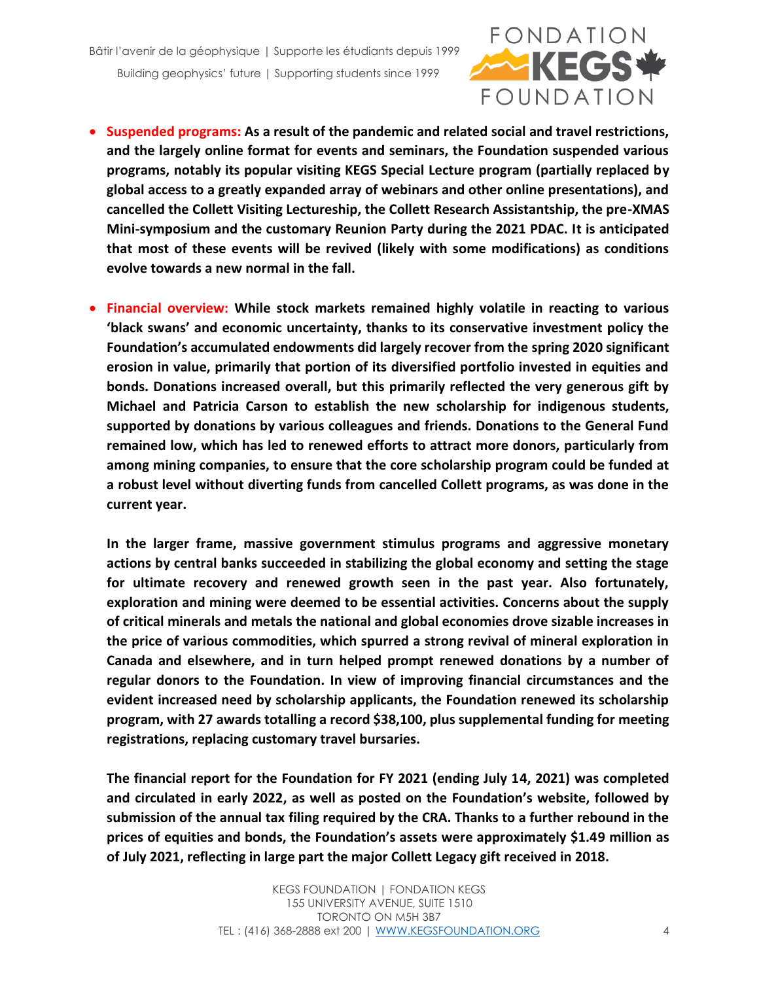

- **Suspended programs: As a result of the pandemic and related social and travel restrictions, and the largely online format for events and seminars, the Foundation suspended various programs, notably its popular visiting KEGS Special Lecture program (partially replaced by global access to a greatly expanded array of webinars and other online presentations), and cancelled the Collett Visiting Lectureship, the Collett Research Assistantship, the pre-XMAS Mini-symposium and the customary Reunion Party during the 2021 PDAC. It is anticipated that most of these events will be revived (likely with some modifications) as conditions evolve towards a new normal in the fall.**
- **Financial overview: While stock markets remained highly volatile in reacting to various 'black swans' and economic uncertainty, thanks to its conservative investment policy the Foundation's accumulated endowments did largely recover from the spring 2020 significant erosion in value, primarily that portion of its diversified portfolio invested in equities and bonds. Donations increased overall, but this primarily reflected the very generous gift by Michael and Patricia Carson to establish the new scholarship for indigenous students, supported by donations by various colleagues and friends. Donations to the General Fund remained low, which has led to renewed efforts to attract more donors, particularly from among mining companies, to ensure that the core scholarship program could be funded at a robust level without diverting funds from cancelled Collett programs, as was done in the current year.**

**In the larger frame, massive government stimulus programs and aggressive monetary actions by central banks succeeded in stabilizing the global economy and setting the stage for ultimate recovery and renewed growth seen in the past year. Also fortunately, exploration and mining were deemed to be essential activities. Concerns about the supply of critical minerals and metals the national and global economies drove sizable increases in the price of various commodities, which spurred a strong revival of mineral exploration in Canada and elsewhere, and in turn helped prompt renewed donations by a number of regular donors to the Foundation. In view of improving financial circumstances and the evident increased need by scholarship applicants, the Foundation renewed its scholarship program, with 27 awards totalling a record \$38,100, plus supplemental funding for meeting registrations, replacing customary travel bursaries.**

**The financial report for the Foundation for FY 2021 (ending July 14, 2021) was completed and circulated in early 2022, as well as posted on the Foundation's website, followed by submission of the annual tax filing required by the CRA. Thanks to a further rebound in the prices of equities and bonds, the Foundation's assets were approximately \$1.49 million as of July 2021, reflecting in large part the major Collett Legacy gift received in 2018.**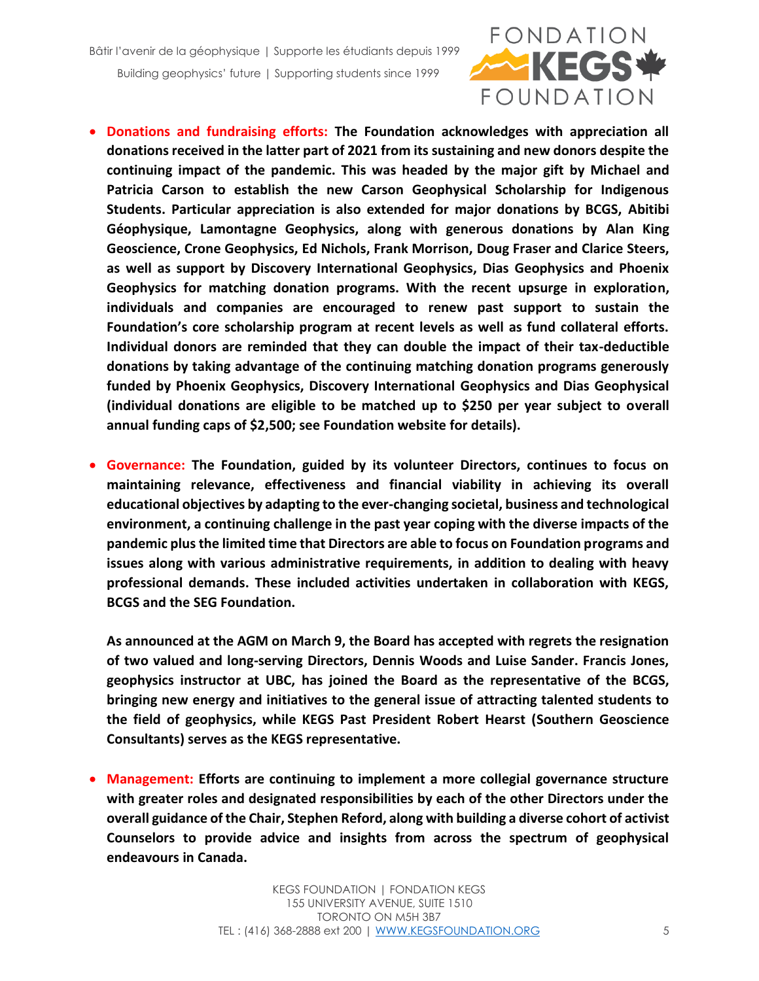

- **Donations and fundraising efforts: The Foundation acknowledges with appreciation all donations received in the latter part of 2021 from its sustaining and new donors despite the continuing impact of the pandemic. This was headed by the major gift by Michael and Patricia Carson to establish the new Carson Geophysical Scholarship for Indigenous Students. Particular appreciation is also extended for major donations by BCGS, Abitibi Géophysique, Lamontagne Geophysics, along with generous donations by Alan King Geoscience, Crone Geophysics, Ed Nichols, Frank Morrison, Doug Fraser and Clarice Steers, as well as support by Discovery International Geophysics, Dias Geophysics and Phoenix Geophysics for matching donation programs. With the recent upsurge in exploration, individuals and companies are encouraged to renew past support to sustain the Foundation's core scholarship program at recent levels as well as fund collateral efforts. Individual donors are reminded that they can double the impact of their tax-deductible donations by taking advantage of the continuing matching donation programs generously funded by Phoenix Geophysics, Discovery International Geophysics and Dias Geophysical (individual donations are eligible to be matched up to \$250 per year subject to overall annual funding caps of \$2,500; see Foundation website for details).**
- **Governance: The Foundation, guided by its volunteer Directors, continues to focus on maintaining relevance, effectiveness and financial viability in achieving its overall educational objectives by adapting to the ever-changing societal, business and technological environment, a continuing challenge in the past year coping with the diverse impacts of the pandemic plus the limited time that Directors are able to focus on Foundation programs and issues along with various administrative requirements, in addition to dealing with heavy professional demands. These included activities undertaken in collaboration with KEGS, BCGS and the SEG Foundation.**

**As announced at the AGM on March 9, the Board has accepted with regrets the resignation of two valued and long-serving Directors, Dennis Woods and Luise Sander. Francis Jones, geophysics instructor at UBC, has joined the Board as the representative of the BCGS, bringing new energy and initiatives to the general issue of attracting talented students to the field of geophysics, while KEGS Past President Robert Hearst (Southern Geoscience Consultants) serves as the KEGS representative.**

• **Management: Efforts are continuing to implement a more collegial governance structure with greater roles and designated responsibilities by each of the other Directors under the overall guidance of the Chair, Stephen Reford, along with building a diverse cohort of activist Counselors to provide advice and insights from across the spectrum of geophysical endeavours in Canada.**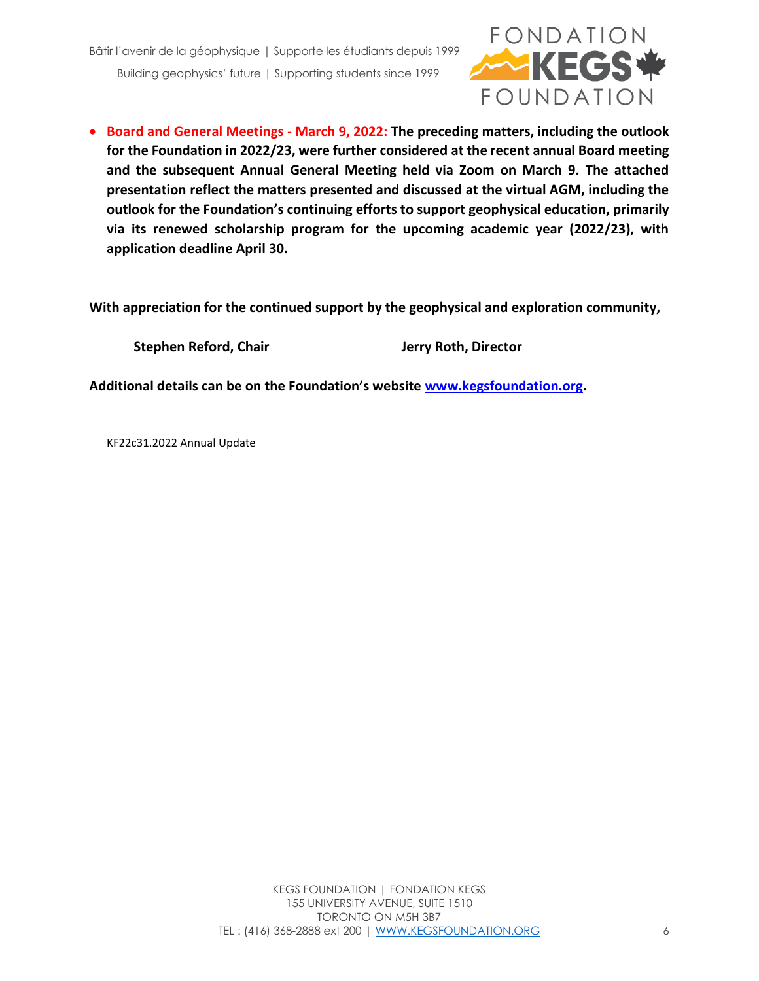

• **Board and General Meetings** - **March 9, 2022: The preceding matters, including the outlook for the Foundation in 2022/23, were further considered at the recent annual Board meeting and the subsequent Annual General Meeting held via Zoom on March 9. The attached presentation reflect the matters presented and discussed at the virtual AGM, including the outlook for the Foundation's continuing efforts to support geophysical education, primarily via its renewed scholarship program for the upcoming academic year (2022/23), with application deadline April 30.**

**With appreciation for the continued support by the geophysical and exploration community,**

**Stephen Reford, Chair Jerry Roth, Director**

**Additional details can be on the Foundation's website [www.kegsfoundation.org.](http://www.kegsfoundation.org/)**

KF22c31.2022 Annual Update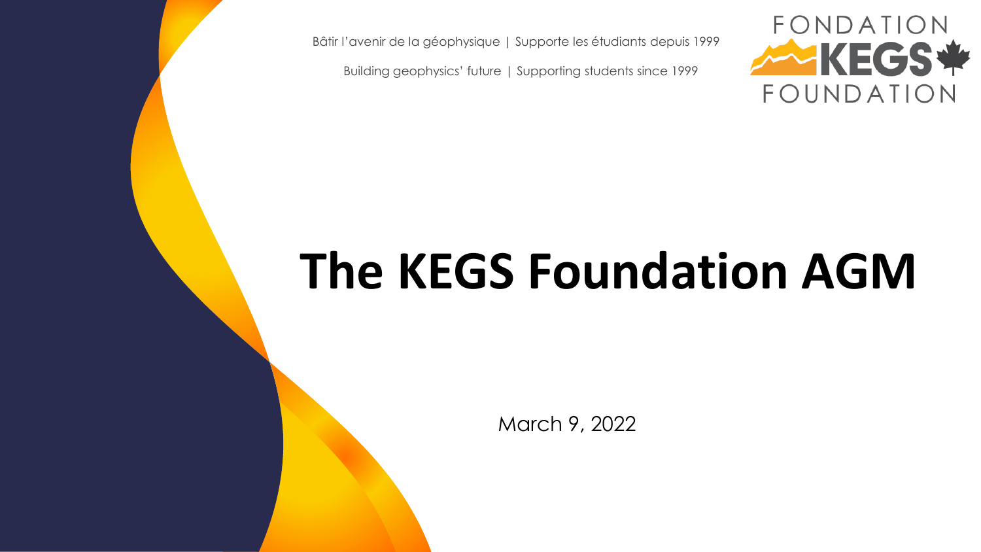Bâtir l'avenir de la géophysique | Supporte les étudiants depuis 1999

Building geophysics' future | Supporting students since 1999



# **The KEGS Foundation AGM**

March 9, 2022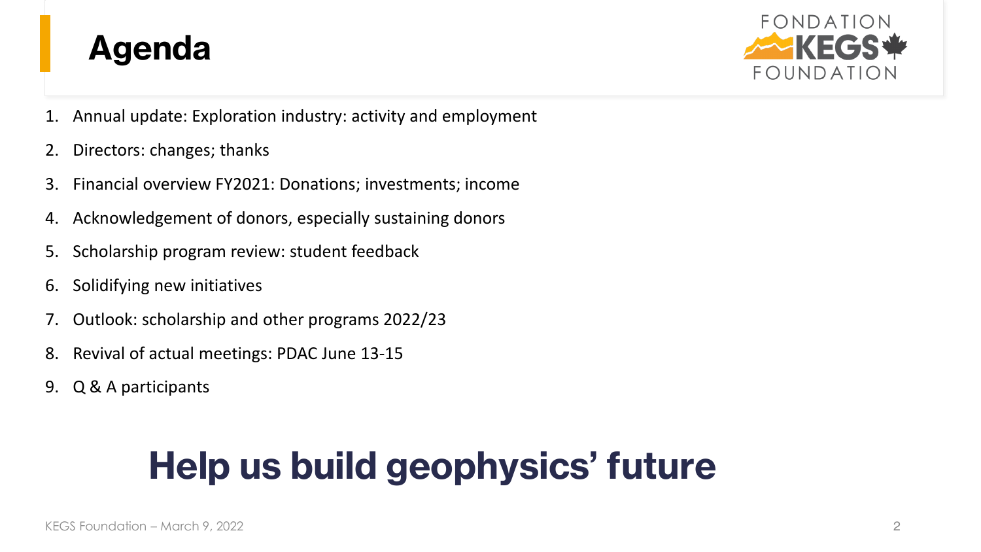#### **Agenda**



- 1. Annual update: Exploration industry: activity and employment
- 2. Directors: changes; thanks
- 3. Financial overview FY2021: Donations; investments; income
- 4. Acknowledgement of donors, especially sustaining donors
- 5. Scholarship program review: student feedback
- 6. Solidifying new initiatives
- 7. Outlook: scholarship and other programs 2022/23
- 8. Revival of actual meetings: PDAC June 13-15
- 9. Q & A participants

## **Help us build geophysics' future**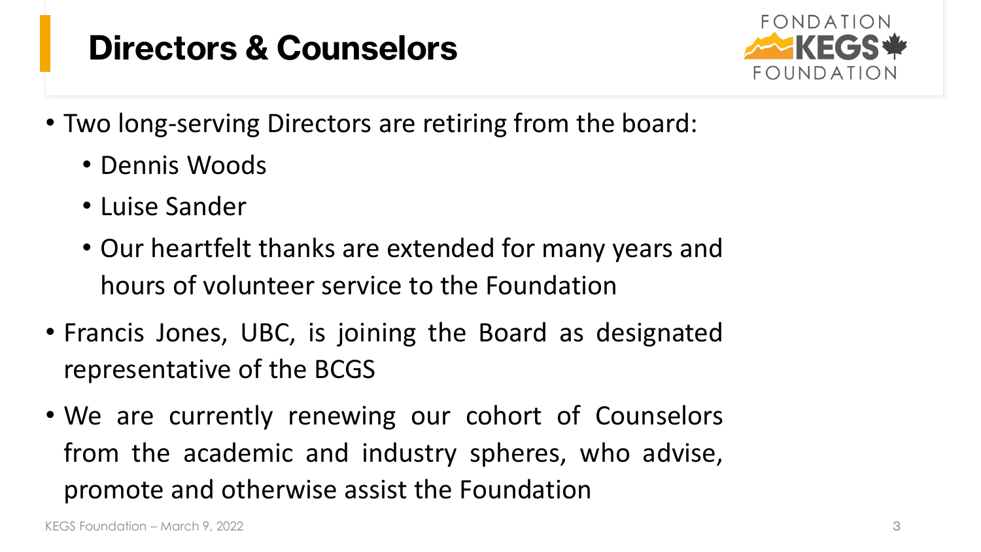#### **Directors & Counselors**



- Two long-serving Directors are retiring from the board:
	- Dennis Woods
	- Luise Sander
	- Our heartfelt thanks are extended for many years and hours of volunteer service to the Foundation
- Francis Jones, UBC, is joining the Board as designated representative of the BCGS
- We are currently renewing our cohort of Counselors from the academic and industry spheres, who advise, promote and otherwise assist the Foundation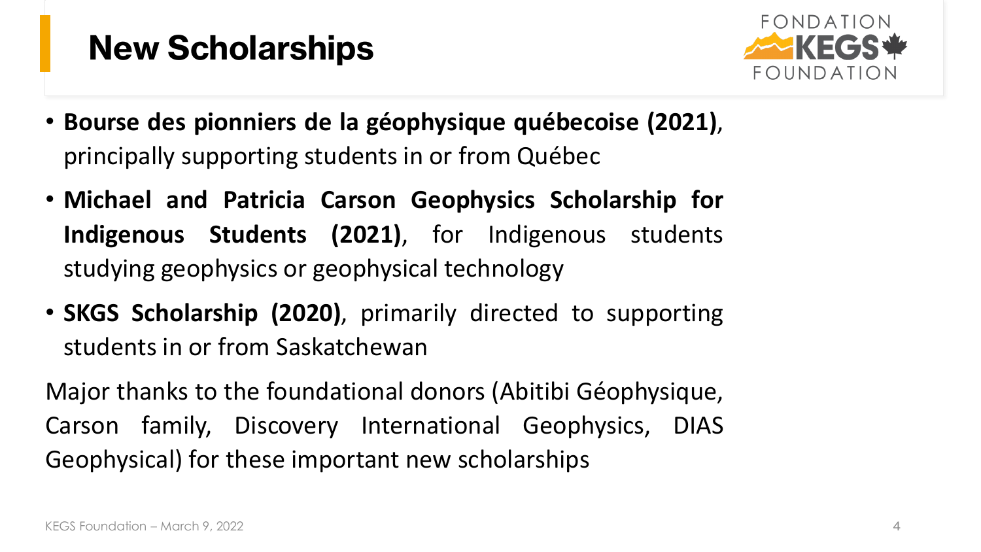#### **New Scholarships**



- **Bourse des pionniers de la géophysique québecoise (2021)**, principally supporting students in or from Québec
- **Michael and Patricia Carson Geophysics Scholarship for Indigenous Students (2021)**, for Indigenous students studying geophysics or geophysical technology
- **SKGS Scholarship (2020)**, primarily directed to supporting students in or from Saskatchewan

Major thanks to the foundational donors (Abitibi Géophysique, Carson family, Discovery International Geophysics, DIAS Geophysical) for these important new scholarships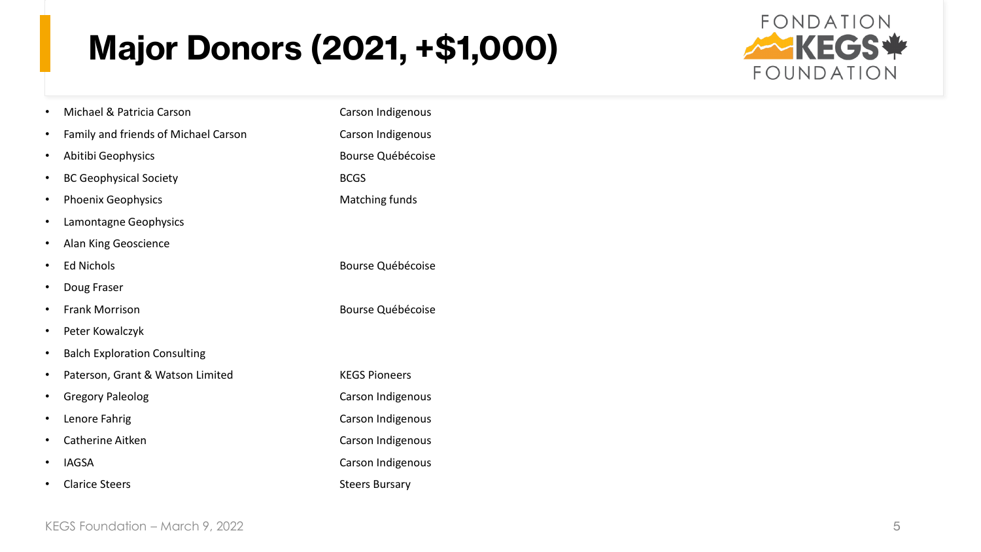### **Major Donors (2021, +\$1,000)**



|   | Michael & Patricia Carson            | Carson Indigenous     |
|---|--------------------------------------|-----------------------|
| ٠ | Family and friends of Michael Carson | Carson Indigenous     |
| ٠ | Abitibi Geophysics                   | Bourse Québécoise     |
| ٠ | <b>BC Geophysical Society</b>        | <b>BCGS</b>           |
| ٠ | <b>Phoenix Geophysics</b>            | Matching funds        |
| ٠ | Lamontagne Geophysics                |                       |
| ٠ | Alan King Geoscience                 |                       |
| ٠ | <b>Ed Nichols</b>                    | Bourse Québécoise     |
| ٠ | Doug Fraser                          |                       |
|   | <b>Frank Morrison</b>                | Bourse Québécoise     |
| ٠ | Peter Kowalczyk                      |                       |
| ٠ | <b>Balch Exploration Consulting</b>  |                       |
| ٠ | Paterson, Grant & Watson Limited     | <b>KEGS Pioneers</b>  |
|   | <b>Gregory Paleolog</b>              | Carson Indigenous     |
| ٠ | Lenore Fahrig                        | Carson Indigenous     |
|   | Catherine Aitken                     | Carson Indigenous     |
|   | <b>IAGSA</b>                         | Carson Indigenous     |
|   | <b>Clarice Steers</b>                | <b>Steers Bursary</b> |
|   |                                      |                       |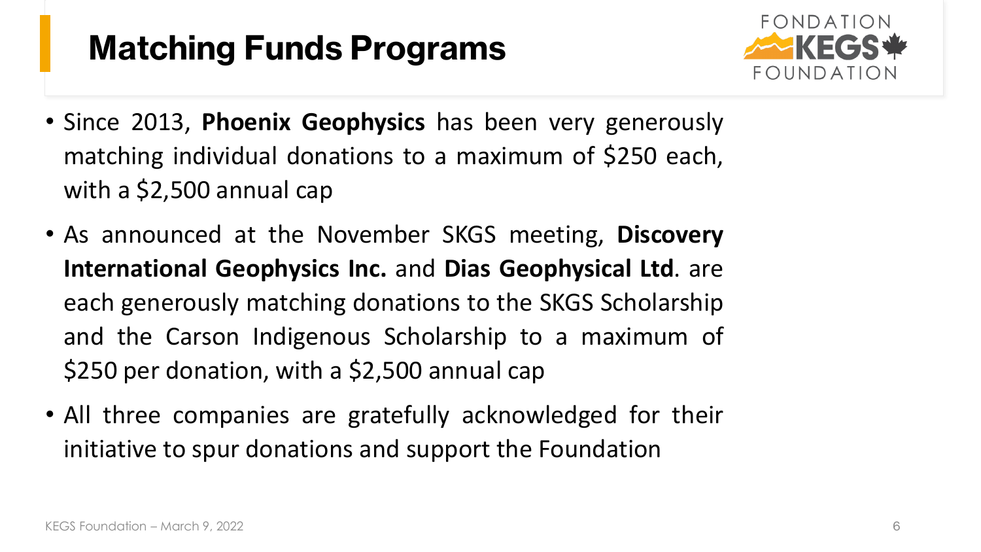#### **Matching Funds Programs**



- Since 2013, **Phoenix Geophysics** has been very generously matching individual donations to a maximum of \$250 each, with a \$2,500 annual cap
- As announced at the November SKGS meeting, **Discovery International Geophysics Inc.** and **Dias Geophysical Ltd**. are each generously matching donations to the SKGS Scholarship and the Carson Indigenous Scholarship to a maximum of \$250 per donation, with a \$2,500 annual cap
- All three companies are gratefully acknowledged for their initiative to spur donations and support the Foundation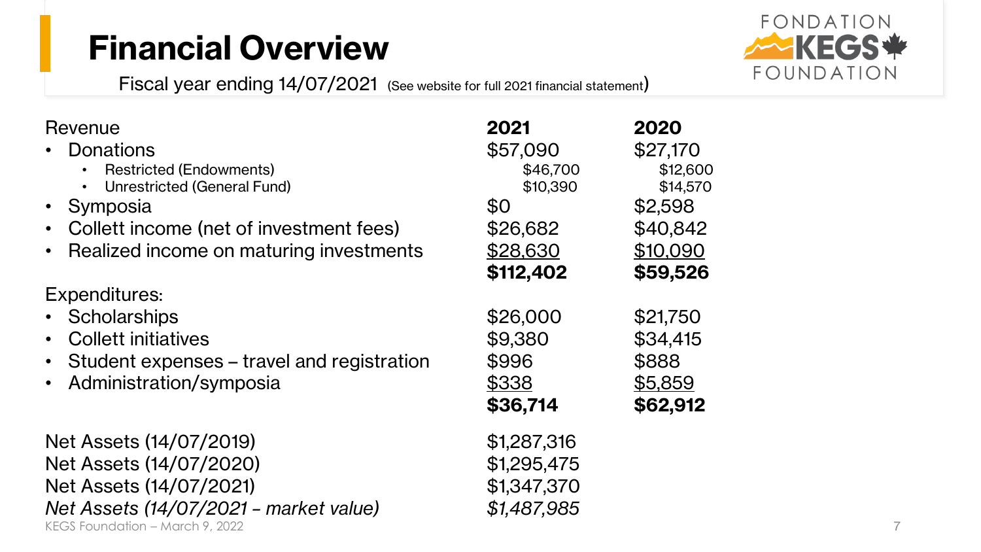#### **Financial Overview**

Fiscal year ending 14/07/2021 (See website for full 2021 financial statement)



| Revenue                                    | 2021        | 2020     |                |
|--------------------------------------------|-------------|----------|----------------|
| <b>Donations</b>                           | \$57,090    | \$27,170 |                |
| <b>Restricted (Endowments)</b>             | \$46,700    | \$12,600 |                |
| Unrestricted (General Fund)                | \$10,390    | \$14,570 |                |
| Symposia                                   | \$0         | \$2,598  |                |
| Collett income (net of investment fees)    | \$26,682    | \$40,842 |                |
| Realized income on maturing investments    | \$28,630    | \$10,090 |                |
|                                            | \$112,402   | \$59,526 |                |
| <b>Expenditures:</b>                       |             |          |                |
| <b>Scholarships</b>                        | \$26,000    | \$21,750 |                |
| <b>Collett initiatives</b>                 | \$9,380     | \$34,415 |                |
| Student expenses – travel and registration | \$996       | \$888    |                |
| Administration/symposia                    | \$338       | \$5,859  |                |
|                                            | \$36,714    | \$62,912 |                |
| Net Assets (14/07/2019)                    | \$1,287,316 |          |                |
| Net Assets (14/07/2020)                    | \$1,295,475 |          |                |
| Net Assets (14/07/2021)                    | \$1,347,370 |          |                |
| Net Assets (14/07/2021 – market value)     | \$1,487,985 |          |                |
| KEGS Foundation – March 9, 2022            |             |          | $\overline{7}$ |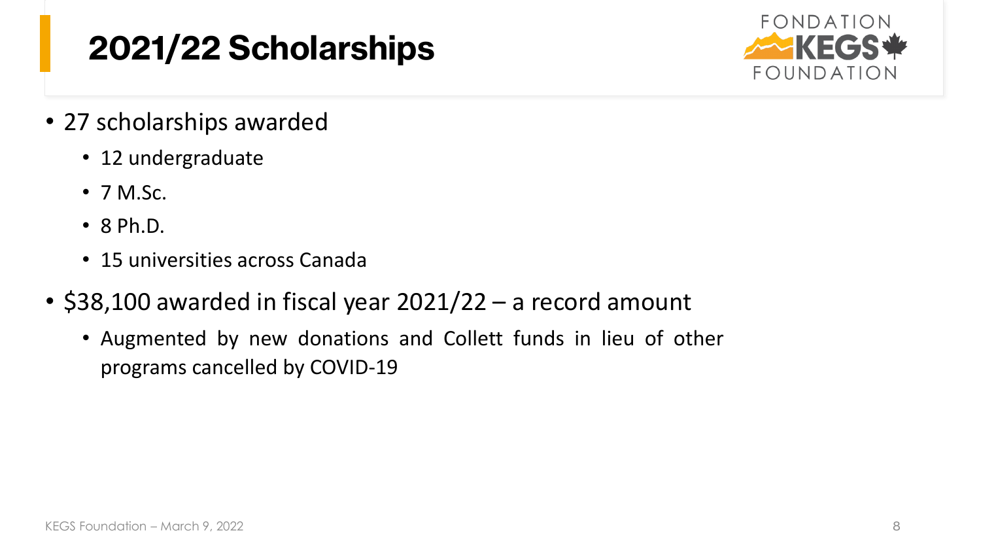

- 27 scholarships awarded
	- 12 undergraduate
	- $\bullet$  7 M.Sc.
	- 8 Ph.D.
	- 15 universities across Canada
- \$38,100 awarded in fiscal year 2021/22 a record amount
	- Augmented by new donations and Collett funds in lieu of other programs cancelled by COVID-19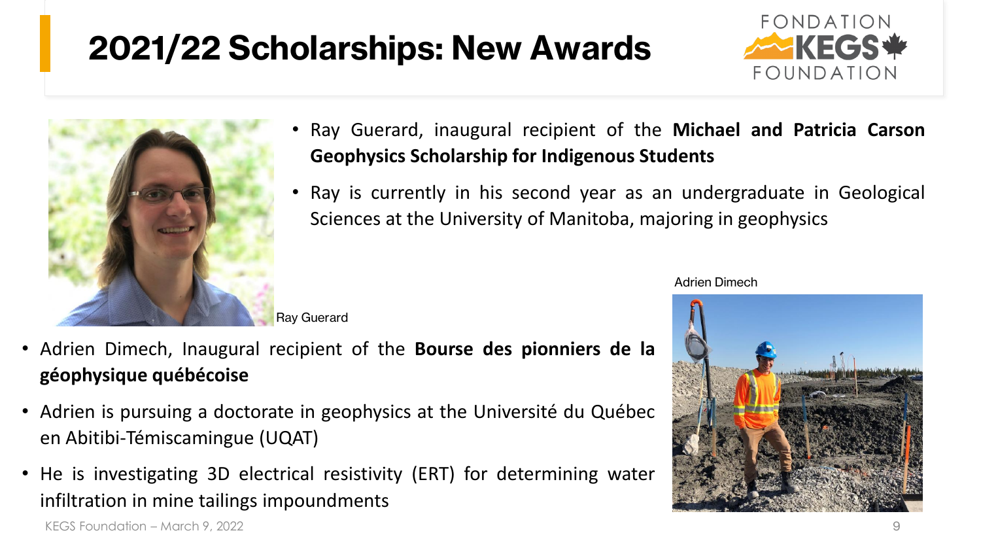### **2021/22 Scholarships: New Awards**





- Ray Guerard, inaugural recipient of the **Michael and Patricia Carson Geophysics Scholarship for Indigenous Students**
- Ray is currently in his second year as an undergraduate in Geological Sciences at the University of Manitoba, majoring in geophysics

Ray Guerard

- Adrien Dimech, Inaugural recipient of the **Bourse des pionniers de la géophysique québécoise**
- Adrien is pursuing a doctorate in geophysics at the Université du Québec en Abitibi-Témiscamingue (UQAT)
- He is investigating 3D electrical resistivity (ERT) for determining water infiltration in mine tailings impoundments



Adrien Dimech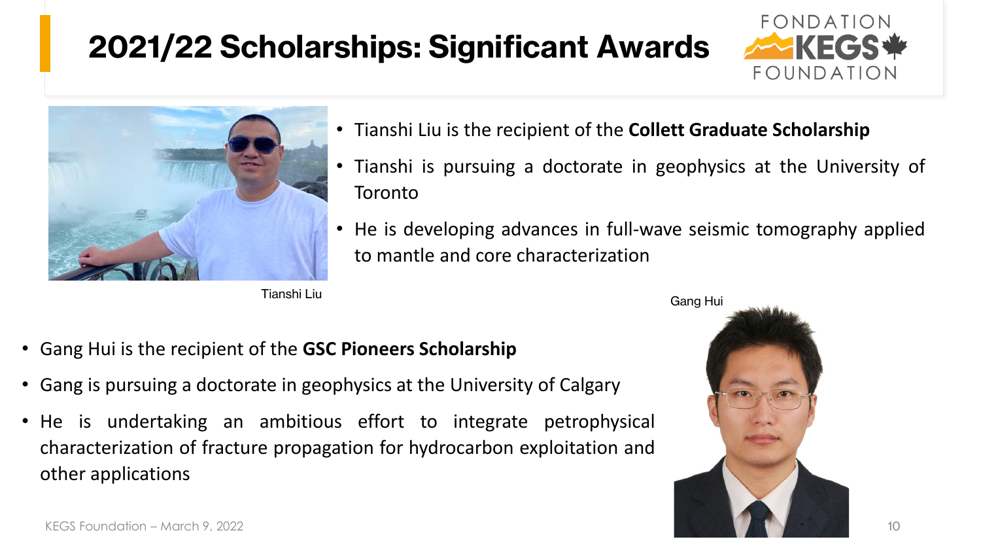#### **2021/22 Scholarships: Significant Awards**





- Tianshi Liu is the recipient of the **Collett Graduate Scholarship**
- Tianshi is pursuing a doctorate in geophysics at the University of Toronto
- He is developing advances in full-wave seismic tomography applied to mantle and core characterization

Tianshi Liu

Gang Hui

- Gang Hui is the recipient of the **GSC Pioneers Scholarship**
- Gang is pursuing a doctorate in geophysics at the University of Calgary
- He is undertaking an ambitious effort to integrate petrophysical characterization of fracture propagation for hydrocarbon exploitation and other applications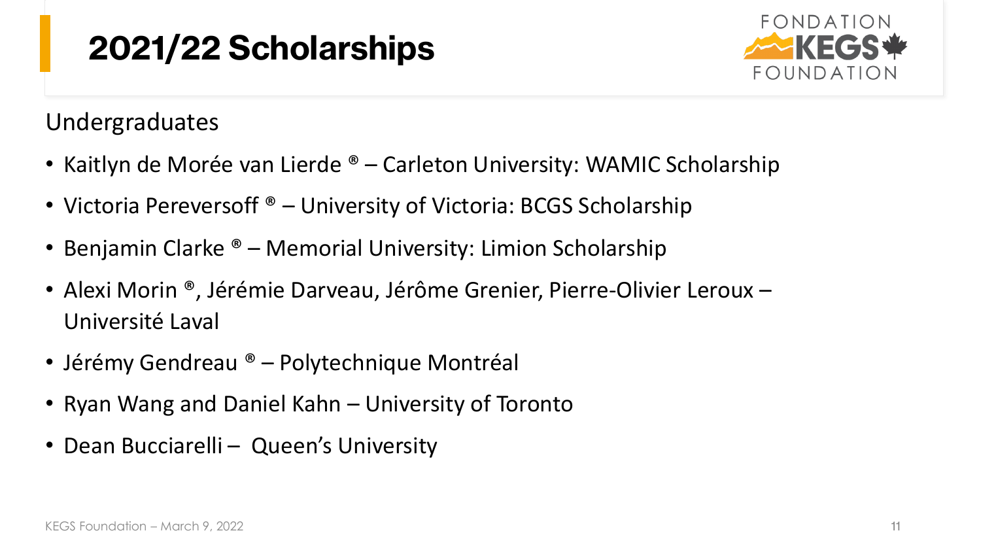

Undergraduates

- Kaitlyn de Morée van Lierde ® Carleton University: WAMIC Scholarship
- Victoria Pereversoff ® University of Victoria: BCGS Scholarship
- Benjamin Clarke ® Memorial University: Limion Scholarship
- Alexi Morin ®, Jérémie Darveau, Jérôme Grenier, Pierre-Olivier Leroux Université Laval
- Jérémy Gendreau ® Polytechnique Montréal
- Ryan Wang and Daniel Kahn University of Toronto
- Dean Bucciarelli Queen's University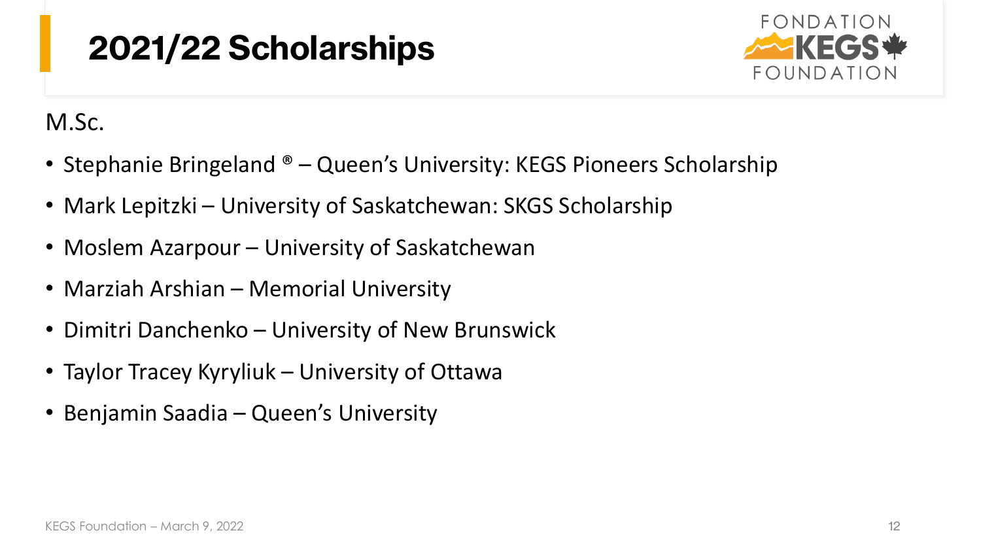

M.Sc.

- Stephanie Bringeland ® Queen's University: KEGS Pioneers Scholarship
- Mark Lepitzki University of Saskatchewan: SKGS Scholarship
- Moslem Azarpour University of Saskatchewan
- Marziah Arshian Memorial University
- Dimitri Danchenko University of New Brunswick
- Taylor Tracey Kyryliuk University of Ottawa
- Benjamin Saadia Queen's University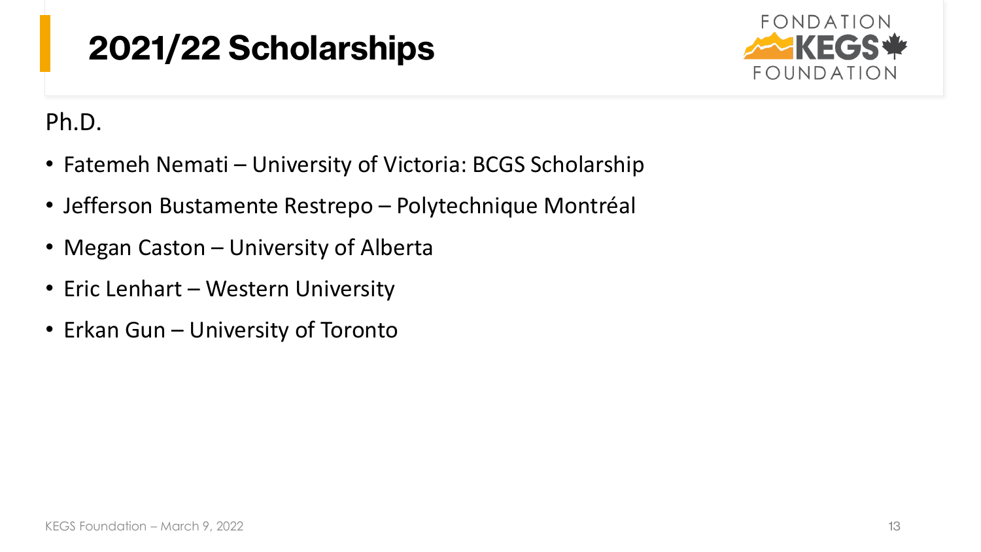

Ph.D.

- Fatemeh Nemati University of Victoria: BCGS Scholarship
- Jefferson Bustamente Restrepo Polytechnique Montréal
- Megan Caston University of Alberta
- Eric Lenhart Western University
- Erkan Gun University of Toronto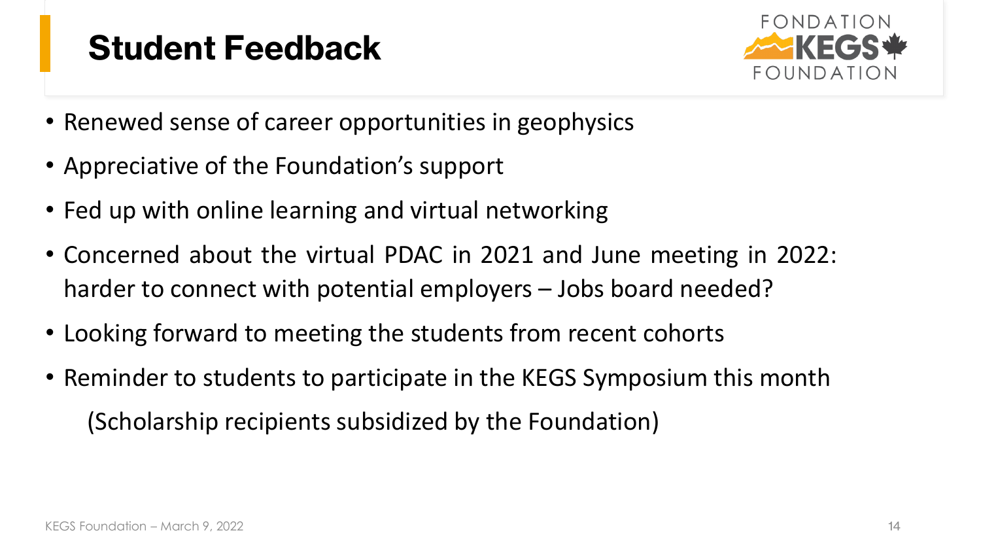#### **Student Feedback**



- Renewed sense of career opportunities in geophysics
- Appreciative of the Foundation's support
- Fed up with online learning and virtual networking
- Concerned about the virtual PDAC in 2021 and June meeting in 2022: harder to connect with potential employers – Jobs board needed?
- Looking forward to meeting the students from recent cohorts
- Reminder to students to participate in the KEGS Symposium this month (Scholarship recipients subsidized by the Foundation)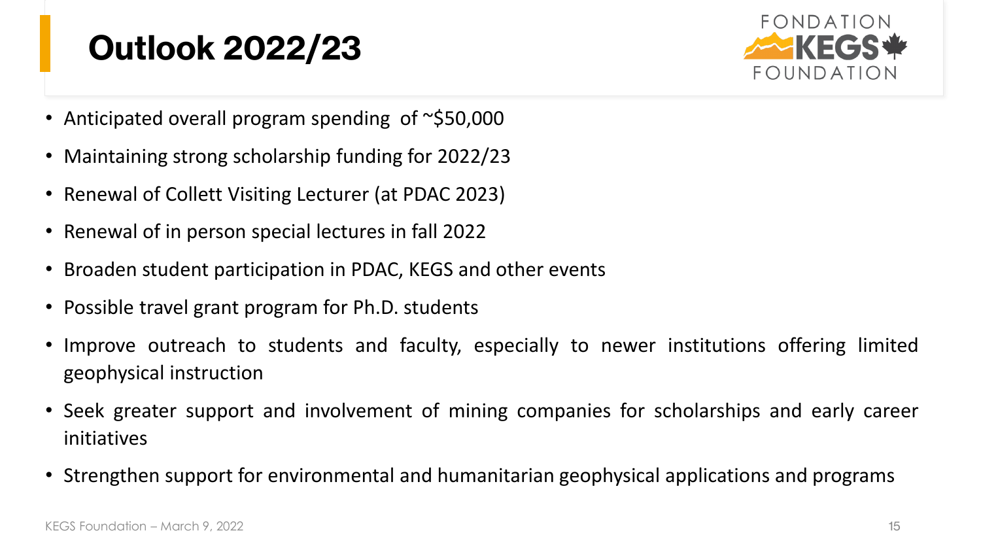#### **Outlook 2022/23**



- Anticipated overall program spending of ~\$50,000
- Maintaining strong scholarship funding for 2022/23
- Renewal of Collett Visiting Lecturer (at PDAC 2023)
- Renewal of in person special lectures in fall 2022
- Broaden student participation in PDAC, KEGS and other events
- Possible travel grant program for Ph.D. students
- Improve outreach to students and faculty, especially to newer institutions offering limited geophysical instruction
- Seek greater support and involvement of mining companies for scholarships and early career initiatives
- Strengthen support for environmental and humanitarian geophysical applications and programs